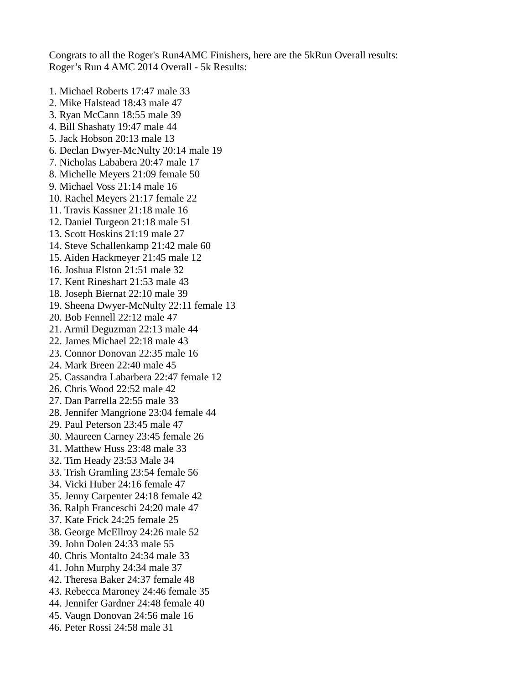Congrats to all the Roger's Run4AMC Finishers, here are the 5kRun Overall results: Roger's Run 4 AMC 2014 Overall - 5k Results:

1. Michael Roberts 17:47 male 33 2. Mike Halstead 18:43 male 47 3. Ryan McCann 18:55 male 39 4. Bill Shashaty 19:47 male 44 5. Jack Hobson 20:13 male 13 6. Declan Dwyer-McNulty 20:14 male 19 7. Nicholas Lababera 20:47 male 17 8. Michelle Meyers 21:09 female 50 9. Michael Voss 21:14 male 16 10. Rachel Meyers 21:17 female 22 11. Travis Kassner 21:18 male 16 12. Daniel Turgeon 21:18 male 51 13. Scott Hoskins 21:19 male 27 14. Steve Schallenkamp 21:42 male 60 15. Aiden Hackmeyer 21:45 male 12 16. Joshua Elston 21:51 male 32 17. Kent Rineshart 21:53 male 43 18. Joseph Biernat 22:10 male 39 19. Sheena Dwyer-McNulty 22:11 female 13 20. Bob Fennell 22:12 male 47 21. Armil Deguzman 22:13 male 44 22. James Michael 22:18 male 43 23. Connor Donovan 22:35 male 16 24. Mark Breen 22:40 male 45 25. Cassandra Labarbera 22:47 female 12 26. Chris Wood 22:52 male 42 27. Dan Parrella 22:55 male 33 28. Jennifer Mangrione 23:04 female 44 29. Paul Peterson 23:45 male 47 30. Maureen Carney 23:45 female 26 31. Matthew Huss 23:48 male 33 32. Tim Heady 23:53 Male 34 33. Trish Gramling 23:54 female 56 34. Vicki Huber 24:16 female 47 35. Jenny Carpenter 24:18 female 42 36. Ralph Franceschi 24:20 male 47 37. Kate Frick 24:25 female 25 38. George McEllroy 24:26 male 52 39. John Dolen 24:33 male 55 40. Chris Montalto 24:34 male 33 41. John Murphy 24:34 male 37 42. Theresa Baker 24:37 female 48 43. Rebecca Maroney 24:46 female 35 44. Jennifer Gardner 24:48 female 40 45. Vaugn Donovan 24:56 male 16 46. Peter Rossi 24:58 male 31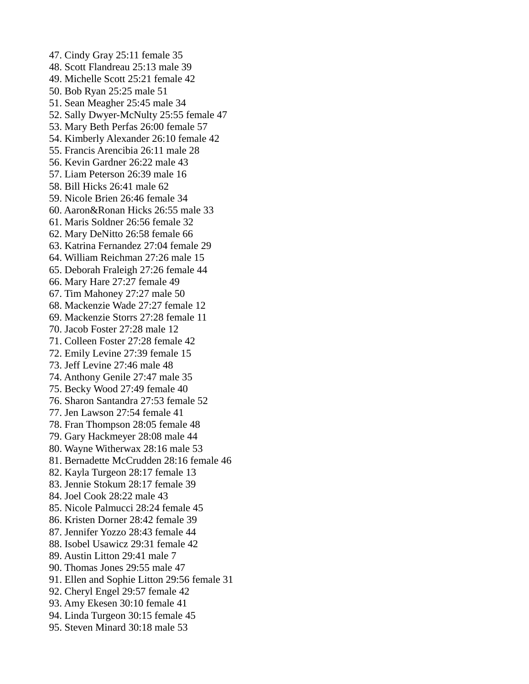47. Cindy Gray 25:11 female 35 48. Scott Flandreau 25:13 male 39 49. Michelle Scott 25:21 female 42 50. Bob Ryan 25:25 male 51 51. Sean Meagher 25:45 male 34 52. Sally Dwyer-McNulty 25:55 female 47 53. Mary Beth Perfas 26:00 female 57 54. Kimberly Alexander 26:10 female 42 55. Francis Arencibia 26:11 male 28 56. Kevin Gardner 26:22 male 43 57. Liam Peterson 26:39 male 16 58. Bill Hicks 26:41 male 62 59. Nicole Brien 26:46 female 34 60. Aaron&Ronan Hicks 26:55 male 33 61. Maris Soldner 26:56 female 32 62. Mary DeNitto 26:58 female 66 63. Katrina Fernandez 27:04 female 29 64. William Reichman 27:26 male 15 65. Deborah Fraleigh 27:26 female 44 66. Mary Hare 27:27 female 49 67. Tim Mahoney 27:27 male 50 68. Mackenzie Wade 27:27 female 12 69. Mackenzie Storrs 27:28 female 11 70. Jacob Foster 27:28 male 12 71. Colleen Foster 27:28 female 42 72. Emily Levine 27:39 female 15 73. Jeff Levine 27:46 male 48 74. Anthony Genile 27:47 male 35 75. Becky Wood 27:49 female 40 76. Sharon Santandra 27:53 female 52 77. Jen Lawson 27:54 female 41 78. Fran Thompson 28:05 female 48 79. Gary Hackmeyer 28:08 male 44 80. Wayne Witherwax 28:16 male 53 81. Bernadette McCrudden 28:16 female 46 82. Kayla Turgeon 28:17 female 13 83. Jennie Stokum 28:17 female 39 84. Joel Cook 28:22 male 43 85. Nicole Palmucci 28:24 female 45 86. Kristen Dorner 28:42 female 39 87. Jennifer Yozzo 28:43 female 44 88. Isobel Usawicz 29:31 female 42 89. Austin Litton 29:41 male 7 90. Thomas Jones 29:55 male 47 91. Ellen and Sophie Litton 29:56 female 31 92. Cheryl Engel 29:57 female 42 93. Amy Ekesen 30:10 female 41 94. Linda Turgeon 30:15 female 45 95. Steven Minard 30:18 male 53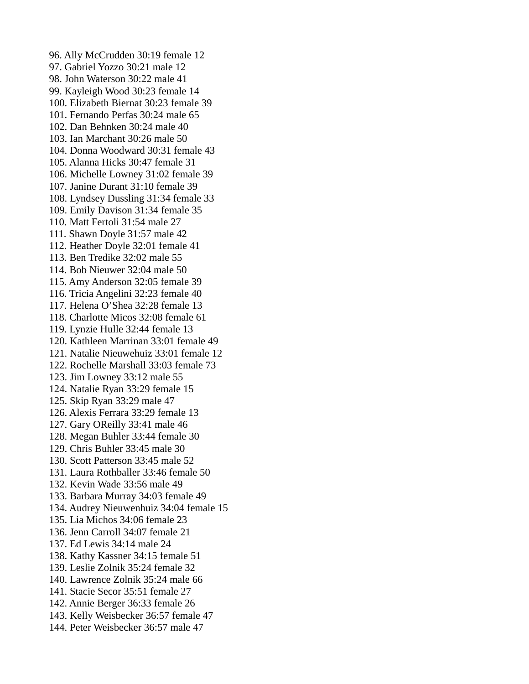96. Ally McCrudden 30:19 female 12 97. Gabriel Yozzo 30:21 male 12 98. John Waterson 30:22 male 41 99. Kayleigh Wood 30:23 female 14 100. Elizabeth Biernat 30:23 female 39 101. Fernando Perfas 30:24 male 65 102. Dan Behnken 30:24 male 40 103. Ian Marchant 30:26 male 50 104. Donna Woodward 30:31 female 43 105. Alanna Hicks 30:47 female 31 106. Michelle Lowney 31:02 female 39 107. Janine Durant 31:10 female 39 108. Lyndsey Dussling 31:34 female 33 109. Emily Davison 31:34 female 35 110. Matt Fertoli 31:54 male 27 111. Shawn Doyle 31:57 male 42 112. Heather Doyle 32:01 female 41 113. Ben Tredike 32:02 male 55 114. Bob Nieuwer 32:04 male 50 115. Amy Anderson 32:05 female 39 116. Tricia Angelini 32:23 female 40 117. Helena O'Shea 32:28 female 13 118. Charlotte Micos 32:08 female 61 119. Lynzie Hulle 32:44 female 13 120. Kathleen Marrinan 33:01 female 49 121. Natalie Nieuwehuiz 33:01 female 12 122. Rochelle Marshall 33:03 female 73 123. Jim Lowney 33:12 male 55 124. Natalie Ryan 33:29 female 15 125. Skip Ryan 33:29 male 47 126. Alexis Ferrara 33:29 female 13 127. Gary OReilly 33:41 male 46 128. Megan Buhler 33:44 female 30 129. Chris Buhler 33:45 male 30 130. Scott Patterson 33:45 male 52 131. Laura Rothballer 33:46 female 50 132. Kevin Wade 33:56 male 49 133. Barbara Murray 34:03 female 49 134. Audrey Nieuwenhuiz 34:04 female 15 135. Lia Michos 34:06 female 23 136. Jenn Carroll 34:07 female 21 137. Ed Lewis 34:14 male 24 138. Kathy Kassner 34:15 female 51 139. Leslie Zolnik 35:24 female 32 140. Lawrence Zolnik 35:24 male 66 141. Stacie Secor 35:51 female 27 142. Annie Berger 36:33 female 26 143. Kelly Weisbecker 36:57 female 47 144. Peter Weisbecker 36:57 male 47